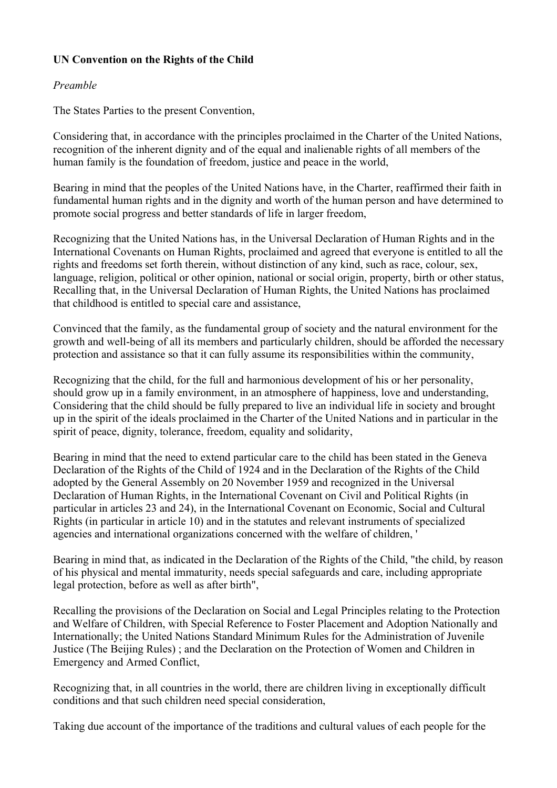## **UN Convention on the Rights of the Child**

### *Preamble*

The States Parties to the present Convention,

Considering that, in accordance with the principles proclaimed in the Charter of the United Nations, recognition of the inherent dignity and of the equal and inalienable rights of all members of the human family is the foundation of freedom, justice and peace in the world,

Bearing in mind that the peoples of the United Nations have, in the Charter, reaffirmed their faith in fundamental human rights and in the dignity and worth of the human person and have determined to promote social progress and better standards of life in larger freedom,

Recognizing that the United Nations has, in the Universal Declaration of Human Rights and in the International Covenants on Human Rights, proclaimed and agreed that everyone is entitled to all the rights and freedoms set forth therein, without distinction of any kind, such as race, colour, sex, language, religion, political or other opinion, national or social origin, property, birth or other status, Recalling that, in the Universal Declaration of Human Rights, the United Nations has proclaimed that childhood is entitled to special care and assistance,

Convinced that the family, as the fundamental group of society and the natural environment for the growth and well-being of all its members and particularly children, should be afforded the necessary protection and assistance so that it can fully assume its responsibilities within the community,

Recognizing that the child, for the full and harmonious development of his or her personality, should grow up in a family environment, in an atmosphere of happiness, love and understanding, Considering that the child should be fully prepared to live an individual life in society and brought up in the spirit of the ideals proclaimed in the Charter of the United Nations and in particular in the spirit of peace, dignity, tolerance, freedom, equality and solidarity,

Bearing in mind that the need to extend particular care to the child has been stated in the Geneva Declaration of the Rights of the Child of 1924 and in the Declaration of the Rights of the Child adopted by the General Assembly on 20 November 1959 and recognized in the Universal Declaration of Human Rights, in the International Covenant on Civil and Political Rights (in particular in articles 23 and 24), in the International Covenant on Economic, Social and Cultural Rights (in particular in article 10) and in the statutes and relevant instruments of specialized agencies and international organizations concerned with the welfare of children, '

Bearing in mind that, as indicated in the Declaration of the Rights of the Child, "the child, by reason of his physical and mental immaturity, needs special safeguards and care, including appropriate legal protection, before as well as after birth",

Recalling the provisions of the Declaration on Social and Legal Principles relating to the Protection and Welfare of Children, with Special Reference to Foster Placement and Adoption Nationally and Internationally; the United Nations Standard Minimum Rules for the Administration of Juvenile Justice (The Beijing Rules) ; and the Declaration on the Protection of Women and Children in Emergency and Armed Conflict,

Recognizing that, in all countries in the world, there are children living in exceptionally difficult conditions and that such children need special consideration,

Taking due account of the importance of the traditions and cultural values of each people for the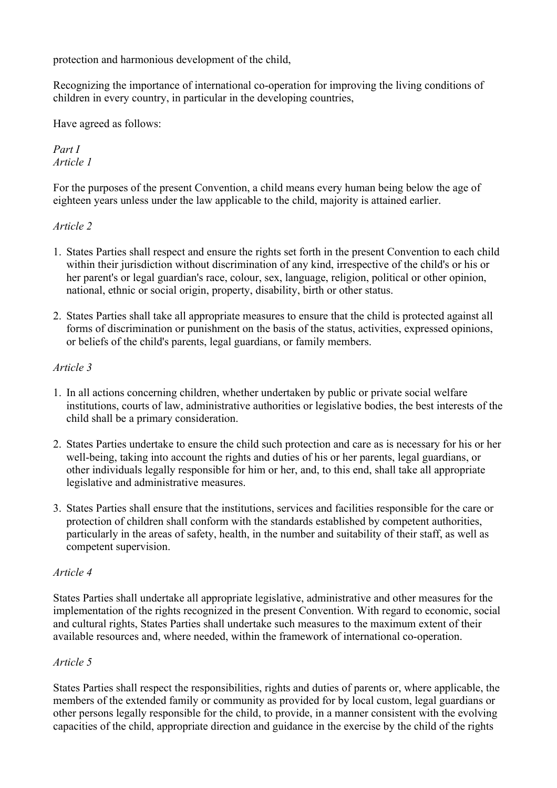protection and harmonious development of the child,

Recognizing the importance of international co-operation for improving the living conditions of children in every country, in particular in the developing countries,

Have agreed as follows:

## *Part I Article 1*

For the purposes of the present Convention, a child means every human being below the age of eighteen years unless under the law applicable to the child, majority is attained earlier.

# *Article 2*

- 1. States Parties shall respect and ensure the rights set forth in the present Convention to each child within their jurisdiction without discrimination of any kind, irrespective of the child's or his or her parent's or legal guardian's race, colour, sex, language, religion, political or other opinion, national, ethnic or social origin, property, disability, birth or other status.
- 2. States Parties shall take all appropriate measures to ensure that the child is protected against all forms of discrimination or punishment on the basis of the status, activities, expressed opinions, or beliefs of the child's parents, legal guardians, or family members.

# *Article 3*

- 1. In all actions concerning children, whether undertaken by public or private social welfare institutions, courts of law, administrative authorities or legislative bodies, the best interests of the child shall be a primary consideration.
- 2. States Parties undertake to ensure the child such protection and care as is necessary for his or her well-being, taking into account the rights and duties of his or her parents, legal guardians, or other individuals legally responsible for him or her, and, to this end, shall take all appropriate legislative and administrative measures.
- 3. States Parties shall ensure that the institutions, services and facilities responsible for the care or protection of children shall conform with the standards established by competent authorities, particularly in the areas of safety, health, in the number and suitability of their staff, as well as competent supervision.

# *Article 4*

States Parties shall undertake all appropriate legislative, administrative and other measures for the implementation of the rights recognized in the present Convention. With regard to economic, social and cultural rights, States Parties shall undertake such measures to the maximum extent of their available resources and, where needed, within the framework of international co-operation.

# *Article 5*

States Parties shall respect the responsibilities, rights and duties of parents or, where applicable, the members of the extended family or community as provided for by local custom, legal guardians or other persons legally responsible for the child, to provide, in a manner consistent with the evolving capacities of the child, appropriate direction and guidance in the exercise by the child of the rights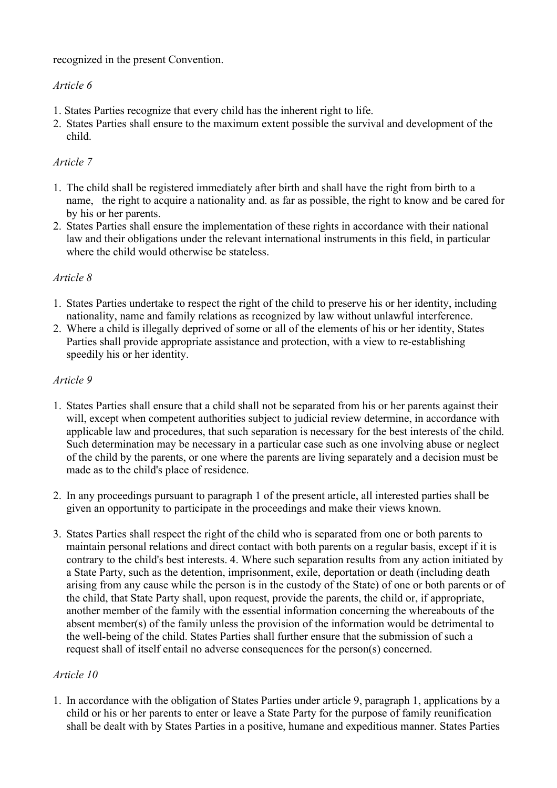recognized in the present Convention.

## *Article 6*

- 1. States Parties recognize that every child has the inherent right to life.
- 2. States Parties shall ensure to the maximum extent possible the survival and development of the child.

## *Article 7*

- 1. The child shall be registered immediately after birth and shall have the right from birth to a name, the right to acquire a nationality and. as far as possible, the right to know and be cared for by his or her parents.
- 2. States Parties shall ensure the implementation of these rights in accordance with their national law and their obligations under the relevant international instruments in this field, in particular where the child would otherwise be stateless.

## *Article 8*

- 1. States Parties undertake to respect the right of the child to preserve his or her identity, including nationality, name and family relations as recognized by law without unlawful interference.
- 2. Where a child is illegally deprived of some or all of the elements of his or her identity, States Parties shall provide appropriate assistance and protection, with a view to re-establishing speedily his or her identity.

### *Article 9*

- 1. States Parties shall ensure that a child shall not be separated from his or her parents against their will, except when competent authorities subject to judicial review determine, in accordance with applicable law and procedures, that such separation is necessary for the best interests of the child. Such determination may be necessary in a particular case such as one involving abuse or neglect of the child by the parents, or one where the parents are living separately and a decision must be made as to the child's place of residence.
- 2. In any proceedings pursuant to paragraph 1 of the present article, all interested parties shall be given an opportunity to participate in the proceedings and make their views known.
- 3. States Parties shall respect the right of the child who is separated from one or both parents to maintain personal relations and direct contact with both parents on a regular basis, except if it is contrary to the child's best interests. 4. Where such separation results from any action initiated by a State Party, such as the detention, imprisonment, exile, deportation or death (including death arising from any cause while the person is in the custody of the State) of one or both parents or of the child, that State Party shall, upon request, provide the parents, the child or, if appropriate, another member of the family with the essential information concerning the whereabouts of the absent member(s) of the family unless the provision of the information would be detrimental to the well-being of the child. States Parties shall further ensure that the submission of such a request shall of itself entail no adverse consequences for the person(s) concerned.

### *Article 10*

1. In accordance with the obligation of States Parties under article 9, paragraph 1, applications by a child or his or her parents to enter or leave a State Party for the purpose of family reunification shall be dealt with by States Parties in a positive, humane and expeditious manner. States Parties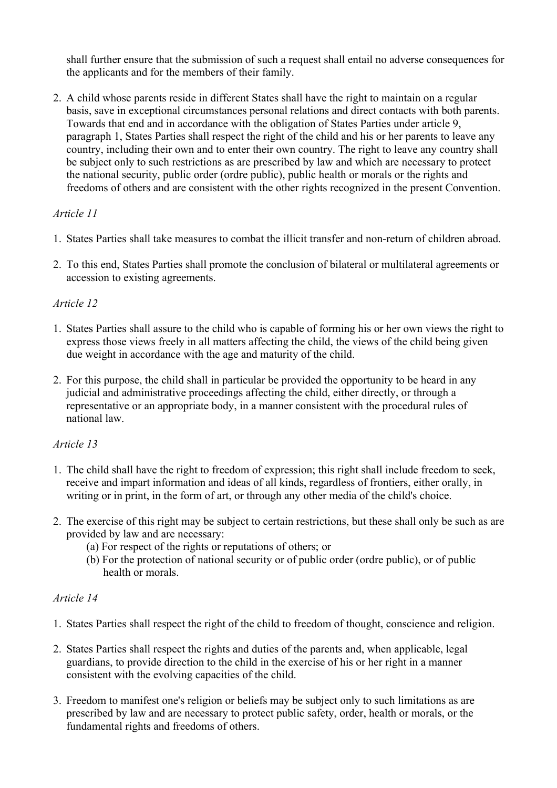shall further ensure that the submission of such a request shall entail no adverse consequences for the applicants and for the members of their family.

2. A child whose parents reside in different States shall have the right to maintain on a regular basis, save in exceptional circumstances personal relations and direct contacts with both parents. Towards that end and in accordance with the obligation of States Parties under article 9, paragraph 1, States Parties shall respect the right of the child and his or her parents to leave any country, including their own and to enter their own country. The right to leave any country shall be subject only to such restrictions as are prescribed by law and which are necessary to protect the national security, public order (ordre public), public health or morals or the rights and freedoms of others and are consistent with the other rights recognized in the present Convention.

## *Article 11*

- 1. States Parties shall take measures to combat the illicit transfer and non-return of children abroad.
- 2. To this end, States Parties shall promote the conclusion of bilateral or multilateral agreements or accession to existing agreements.

## *Article 12*

- 1. States Parties shall assure to the child who is capable of forming his or her own views the right to express those views freely in all matters affecting the child, the views of the child being given due weight in accordance with the age and maturity of the child.
- 2. For this purpose, the child shall in particular be provided the opportunity to be heard in any judicial and administrative proceedings affecting the child, either directly, or through a representative or an appropriate body, in a manner consistent with the procedural rules of national law.

### *Article 13*

- 1. The child shall have the right to freedom of expression; this right shall include freedom to seek, receive and impart information and ideas of all kinds, regardless of frontiers, either orally, in writing or in print, in the form of art, or through any other media of the child's choice.
- 2. The exercise of this right may be subject to certain restrictions, but these shall only be such as are provided by law and are necessary:
	- (a) For respect of the rights or reputations of others; or
	- (b) For the protection of national security or of public order (ordre public), or of public health or morals.

- 1. States Parties shall respect the right of the child to freedom of thought, conscience and religion.
- 2. States Parties shall respect the rights and duties of the parents and, when applicable, legal guardians, to provide direction to the child in the exercise of his or her right in a manner consistent with the evolving capacities of the child.
- 3. Freedom to manifest one's religion or beliefs may be subject only to such limitations as are prescribed by law and are necessary to protect public safety, order, health or morals, or the fundamental rights and freedoms of others.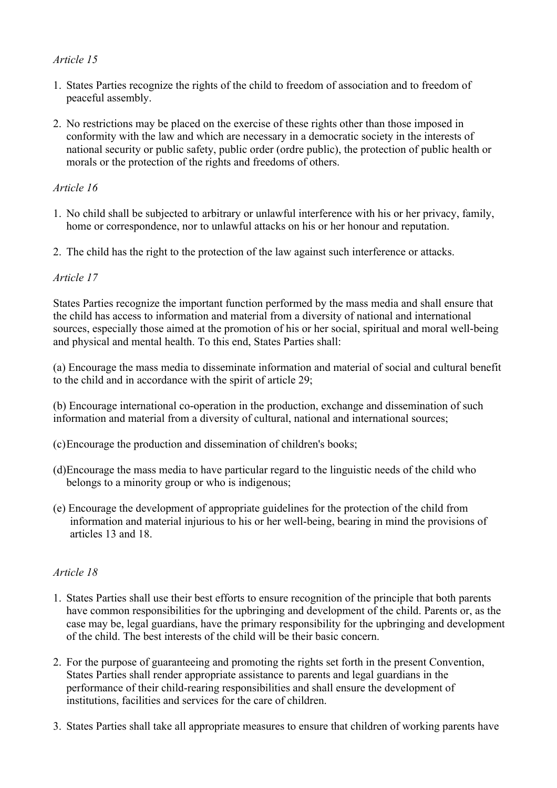- 1. States Parties recognize the rights of the child to freedom of association and to freedom of peaceful assembly.
- 2. No restrictions may be placed on the exercise of these rights other than those imposed in conformity with the law and which are necessary in a democratic society in the interests of national security or public safety, public order (ordre public), the protection of public health or morals or the protection of the rights and freedoms of others.

### *Article 16*

- 1. No child shall be subjected to arbitrary or unlawful interference with his or her privacy, family, home or correspondence, nor to unlawful attacks on his or her honour and reputation.
- 2. The child has the right to the protection of the law against such interference or attacks.

#### *Article 17*

States Parties recognize the important function performed by the mass media and shall ensure that the child has access to information and material from a diversity of national and international sources, especially those aimed at the promotion of his or her social, spiritual and moral well-being and physical and mental health. To this end, States Parties shall:

(a) Encourage the mass media to disseminate information and material of social and cultural benefit to the child and in accordance with the spirit of article 29;

(b) Encourage international co-operation in the production, exchange and dissemination of such information and material from a diversity of cultural, national and international sources;

- (c)Encourage the production and dissemination of children's books;
- (d)Encourage the mass media to have particular regard to the linguistic needs of the child who belongs to a minority group or who is indigenous;
- (e) Encourage the development of appropriate guidelines for the protection of the child from information and material injurious to his or her well-being, bearing in mind the provisions of articles 13 and 18.

- 1. States Parties shall use their best efforts to ensure recognition of the principle that both parents have common responsibilities for the upbringing and development of the child. Parents or, as the case may be, legal guardians, have the primary responsibility for the upbringing and development of the child. The best interests of the child will be their basic concern.
- 2. For the purpose of guaranteeing and promoting the rights set forth in the present Convention, States Parties shall render appropriate assistance to parents and legal guardians in the performance of their child-rearing responsibilities and shall ensure the development of institutions, facilities and services for the care of children.
- 3. States Parties shall take all appropriate measures to ensure that children of working parents have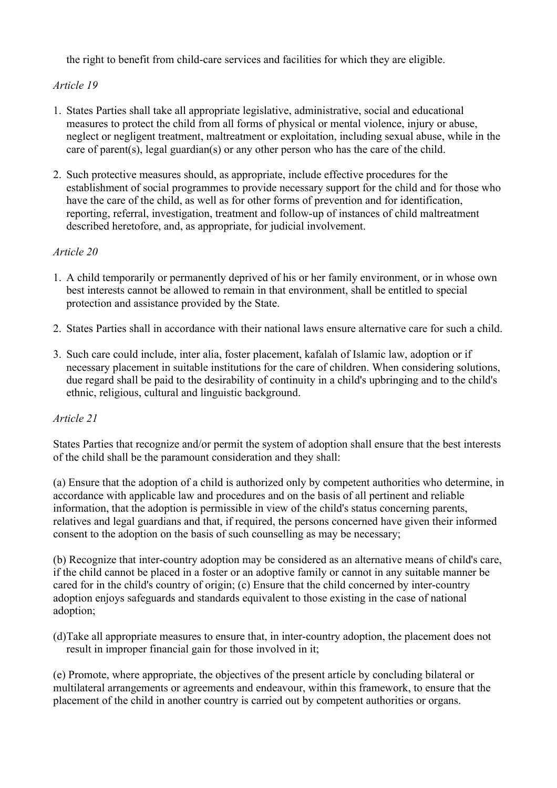the right to benefit from child-care services and facilities for which they are eligible.

## *Article 19*

- 1. States Parties shall take all appropriate legislative, administrative, social and educational measures to protect the child from all forms of physical or mental violence, injury or abuse, neglect or negligent treatment, maltreatment or exploitation, including sexual abuse, while in the care of parent(s), legal guardian(s) or any other person who has the care of the child.
- 2. Such protective measures should, as appropriate, include effective procedures for the establishment of social programmes to provide necessary support for the child and for those who have the care of the child, as well as for other forms of prevention and for identification, reporting, referral, investigation, treatment and follow-up of instances of child maltreatment described heretofore, and, as appropriate, for judicial involvement.

## *Article 20*

- 1. A child temporarily or permanently deprived of his or her family environment, or in whose own best interests cannot be allowed to remain in that environment, shall be entitled to special protection and assistance provided by the State.
- 2. States Parties shall in accordance with their national laws ensure alternative care for such a child.
- 3. Such care could include, inter alia, foster placement, kafalah of Islamic law, adoption or if necessary placement in suitable institutions for the care of children. When considering solutions, due regard shall be paid to the desirability of continuity in a child's upbringing and to the child's ethnic, religious, cultural and linguistic background.

### *Article 21*

States Parties that recognize and/or permit the system of adoption shall ensure that the best interests of the child shall be the paramount consideration and they shall:

(a) Ensure that the adoption of a child is authorized only by competent authorities who determine, in accordance with applicable law and procedures and on the basis of all pertinent and reliable information, that the adoption is permissible in view of the child's status concerning parents, relatives and legal guardians and that, if required, the persons concerned have given their informed consent to the adoption on the basis of such counselling as may be necessary;

(b) Recognize that inter-country adoption may be considered as an alternative means of child's care, if the child cannot be placed in a foster or an adoptive family or cannot in any suitable manner be cared for in the child's country of origin; (c) Ensure that the child concerned by inter-country adoption enjoys safeguards and standards equivalent to those existing in the case of national adoption;

(d)Take all appropriate measures to ensure that, in inter-country adoption, the placement does not result in improper financial gain for those involved in it;

(e) Promote, where appropriate, the objectives of the present article by concluding bilateral or multilateral arrangements or agreements and endeavour, within this framework, to ensure that the placement of the child in another country is carried out by competent authorities or organs.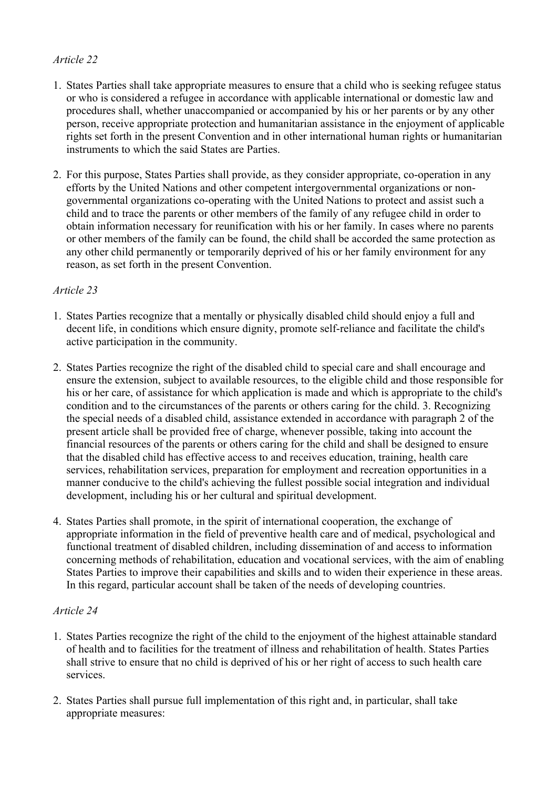- 1. States Parties shall take appropriate measures to ensure that a child who is seeking refugee status or who is considered a refugee in accordance with applicable international or domestic law and procedures shall, whether unaccompanied or accompanied by his or her parents or by any other person, receive appropriate protection and humanitarian assistance in the enjoyment of applicable rights set forth in the present Convention and in other international human rights or humanitarian instruments to which the said States are Parties.
- 2. For this purpose, States Parties shall provide, as they consider appropriate, co-operation in any efforts by the United Nations and other competent intergovernmental organizations or nongovernmental organizations co-operating with the United Nations to protect and assist such a child and to trace the parents or other members of the family of any refugee child in order to obtain information necessary for reunification with his or her family. In cases where no parents or other members of the family can be found, the child shall be accorded the same protection as any other child permanently or temporarily deprived of his or her family environment for any reason, as set forth in the present Convention.

### *Article 23*

- 1. States Parties recognize that a mentally or physically disabled child should enjoy a full and decent life, in conditions which ensure dignity, promote self-reliance and facilitate the child's active participation in the community.
- 2. States Parties recognize the right of the disabled child to special care and shall encourage and ensure the extension, subject to available resources, to the eligible child and those responsible for his or her care, of assistance for which application is made and which is appropriate to the child's condition and to the circumstances of the parents or others caring for the child. 3. Recognizing the special needs of a disabled child, assistance extended in accordance with paragraph 2 of the present article shall be provided free of charge, whenever possible, taking into account the financial resources of the parents or others caring for the child and shall be designed to ensure that the disabled child has effective access to and receives education, training, health care services, rehabilitation services, preparation for employment and recreation opportunities in a manner conducive to the child's achieving the fullest possible social integration and individual development, including his or her cultural and spiritual development.
- 4. States Parties shall promote, in the spirit of international cooperation, the exchange of appropriate information in the field of preventive health care and of medical, psychological and functional treatment of disabled children, including dissemination of and access to information concerning methods of rehabilitation, education and vocational services, with the aim of enabling States Parties to improve their capabilities and skills and to widen their experience in these areas. In this regard, particular account shall be taken of the needs of developing countries.

- 1. States Parties recognize the right of the child to the enjoyment of the highest attainable standard of health and to facilities for the treatment of illness and rehabilitation of health. States Parties shall strive to ensure that no child is deprived of his or her right of access to such health care services.
- 2. States Parties shall pursue full implementation of this right and, in particular, shall take appropriate measures: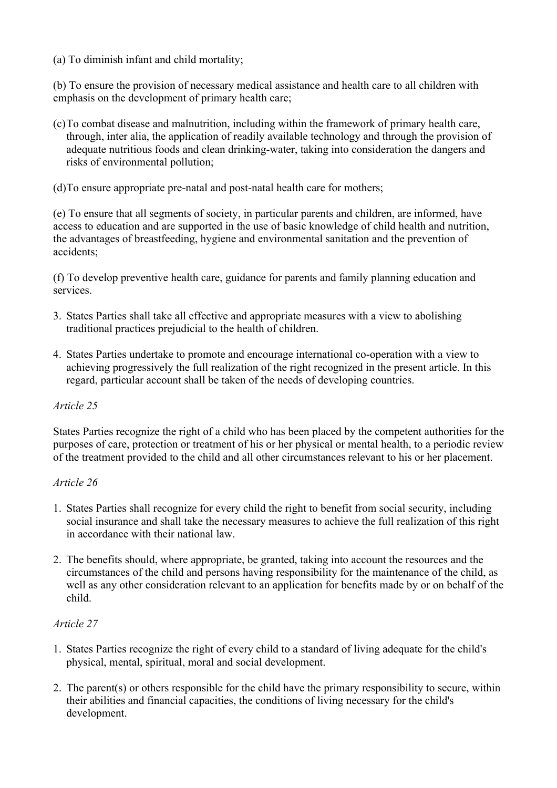(a) To diminish infant and child mortality;

(b) To ensure the provision of necessary medical assistance and health care to all children with emphasis on the development of primary health care;

- (c)To combat disease and malnutrition, including within the framework of primary health care, through, inter alia, the application of readily available technology and through the provision of adequate nutritious foods and clean drinking-water, taking into consideration the dangers and risks of environmental pollution;
- (d)To ensure appropriate pre-natal and post-natal health care for mothers;

(e) To ensure that all segments of society, in particular parents and children, are informed, have access to education and are supported in the use of basic knowledge of child health and nutrition, the advantages of breastfeeding, hygiene and environmental sanitation and the prevention of accidents;

(f) To develop preventive health care, guidance for parents and family planning education and services.

- 3. States Parties shall take all effective and appropriate measures with a view to abolishing traditional practices prejudicial to the health of children.
- 4. States Parties undertake to promote and encourage international co-operation with a view to achieving progressively the full realization of the right recognized in the present article. In this regard, particular account shall be taken of the needs of developing countries.

### *Article 25*

States Parties recognize the right of a child who has been placed by the competent authorities for the purposes of care, protection or treatment of his or her physical or mental health, to a periodic review of the treatment provided to the child and all other circumstances relevant to his or her placement.

### *Article 26*

- 1. States Parties shall recognize for every child the right to benefit from social security, including social insurance and shall take the necessary measures to achieve the full realization of this right in accordance with their national law.
- 2. The benefits should, where appropriate, be granted, taking into account the resources and the circumstances of the child and persons having responsibility for the maintenance of the child, as well as any other consideration relevant to an application for benefits made by or on behalf of the child.

- 1. States Parties recognize the right of every child to a standard of living adequate for the child's physical, mental, spiritual, moral and social development.
- 2. The parent(s) or others responsible for the child have the primary responsibility to secure, within their abilities and financial capacities, the conditions of living necessary for the child's development.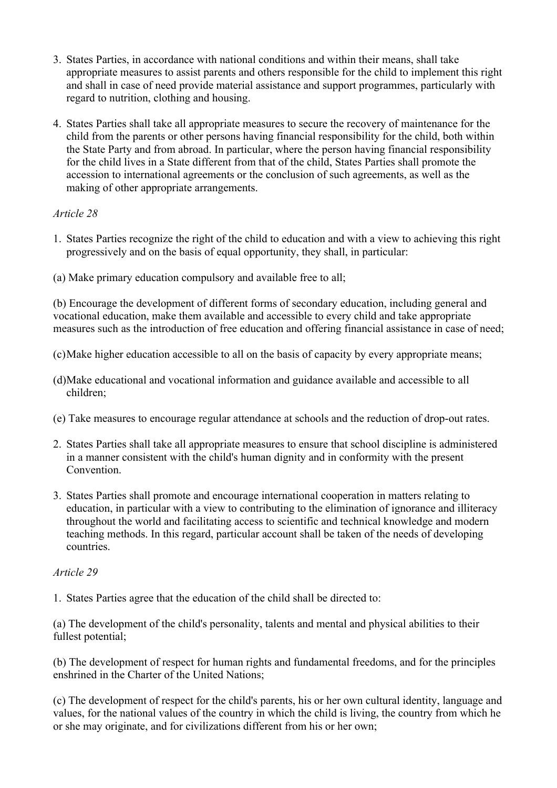- 3. States Parties, in accordance with national conditions and within their means, shall take appropriate measures to assist parents and others responsible for the child to implement this right and shall in case of need provide material assistance and support programmes, particularly with regard to nutrition, clothing and housing.
- 4. States Parties shall take all appropriate measures to secure the recovery of maintenance for the child from the parents or other persons having financial responsibility for the child, both within the State Party and from abroad. In particular, where the person having financial responsibility for the child lives in a State different from that of the child, States Parties shall promote the accession to international agreements or the conclusion of such agreements, as well as the making of other appropriate arrangements.

- 1. States Parties recognize the right of the child to education and with a view to achieving this right progressively and on the basis of equal opportunity, they shall, in particular:
- (a) Make primary education compulsory and available free to all;

(b) Encourage the development of different forms of secondary education, including general and vocational education, make them available and accessible to every child and take appropriate measures such as the introduction of free education and offering financial assistance in case of need;

- (c)Make higher education accessible to all on the basis of capacity by every appropriate means;
- (d)Make educational and vocational information and guidance available and accessible to all children;
- (e) Take measures to encourage regular attendance at schools and the reduction of drop-out rates.
- 2. States Parties shall take all appropriate measures to ensure that school discipline is administered in a manner consistent with the child's human dignity and in conformity with the present Convention.
- 3. States Parties shall promote and encourage international cooperation in matters relating to education, in particular with a view to contributing to the elimination of ignorance and illiteracy throughout the world and facilitating access to scientific and technical knowledge and modern teaching methods. In this regard, particular account shall be taken of the needs of developing countries.

### *Article 29*

1. States Parties agree that the education of the child shall be directed to:

(a) The development of the child's personality, talents and mental and physical abilities to their fullest potential;

(b) The development of respect for human rights and fundamental freedoms, and for the principles enshrined in the Charter of the United Nations;

(c) The development of respect for the child's parents, his or her own cultural identity, language and values, for the national values of the country in which the child is living, the country from which he or she may originate, and for civilizations different from his or her own;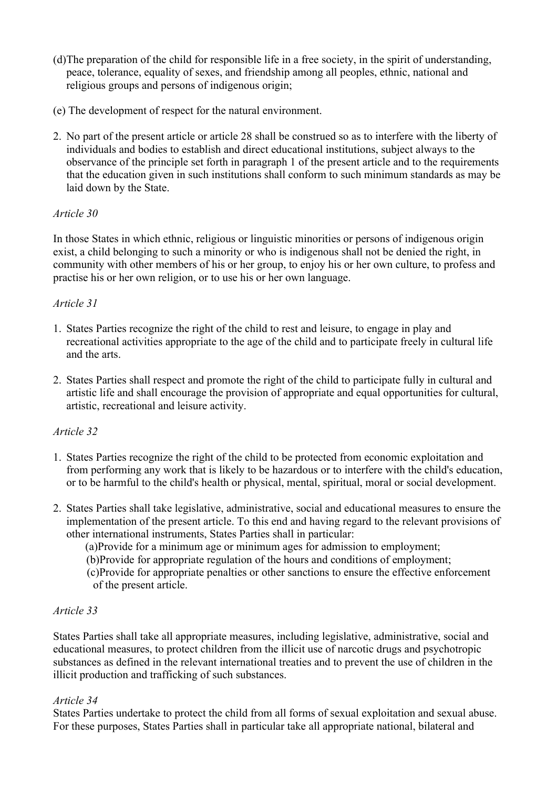- (d)The preparation of the child for responsible life in a free society, in the spirit of understanding, peace, tolerance, equality of sexes, and friendship among all peoples, ethnic, national and religious groups and persons of indigenous origin;
- (e) The development of respect for the natural environment.
- 2. No part of the present article or article 28 shall be construed so as to interfere with the liberty of individuals and bodies to establish and direct educational institutions, subject always to the observance of the principle set forth in paragraph 1 of the present article and to the requirements that the education given in such institutions shall conform to such minimum standards as may be laid down by the State.

In those States in which ethnic, religious or linguistic minorities or persons of indigenous origin exist, a child belonging to such a minority or who is indigenous shall not be denied the right, in community with other members of his or her group, to enjoy his or her own culture, to profess and practise his or her own religion, or to use his or her own language.

## *Article 31*

- 1. States Parties recognize the right of the child to rest and leisure, to engage in play and recreational activities appropriate to the age of the child and to participate freely in cultural life and the arts.
- 2. States Parties shall respect and promote the right of the child to participate fully in cultural and artistic life and shall encourage the provision of appropriate and equal opportunities for cultural, artistic, recreational and leisure activity.

# *Article 32*

- 1. States Parties recognize the right of the child to be protected from economic exploitation and from performing any work that is likely to be hazardous or to interfere with the child's education, or to be harmful to the child's health or physical, mental, spiritual, moral or social development.
- 2. States Parties shall take legislative, administrative, social and educational measures to ensure the implementation of the present article. To this end and having regard to the relevant provisions of other international instruments, States Parties shall in particular:
	- (a)Provide for a minimum age or minimum ages for admission to employment;
	- (b)Provide for appropriate regulation of the hours and conditions of employment;
	- (c)Provide for appropriate penalties or other sanctions to ensure the effective enforcement of the present article.

### *Article 33*

States Parties shall take all appropriate measures, including legislative, administrative, social and educational measures, to protect children from the illicit use of narcotic drugs and psychotropic substances as defined in the relevant international treaties and to prevent the use of children in the illicit production and trafficking of such substances.

### *Article 34*

States Parties undertake to protect the child from all forms of sexual exploitation and sexual abuse. For these purposes, States Parties shall in particular take all appropriate national, bilateral and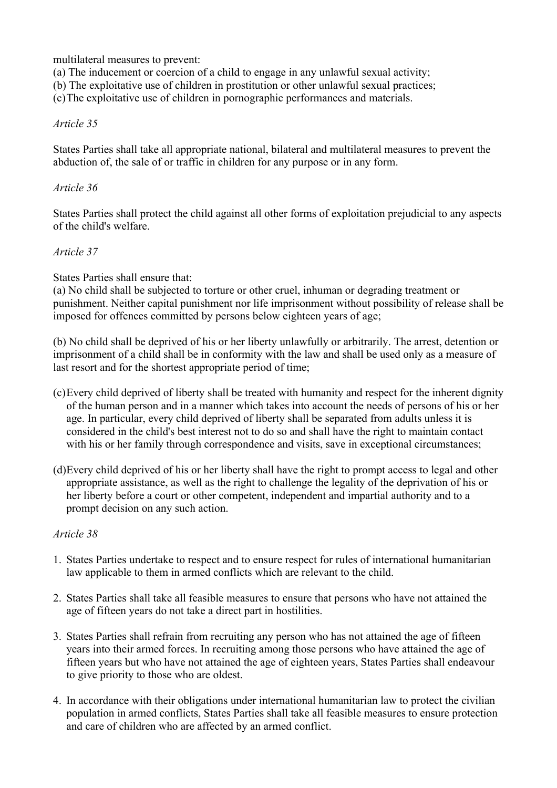multilateral measures to prevent:

(a) The inducement or coercion of a child to engage in any unlawful sexual activity;

(b) The exploitative use of children in prostitution or other unlawful sexual practices;

(c)The exploitative use of children in pornographic performances and materials.

#### *Article 35*

States Parties shall take all appropriate national, bilateral and multilateral measures to prevent the abduction of, the sale of or traffic in children for any purpose or in any form.

### *Article 36*

States Parties shall protect the child against all other forms of exploitation prejudicial to any aspects of the child's welfare.

### *Article 37*

States Parties shall ensure that:

(a) No child shall be subjected to torture or other cruel, inhuman or degrading treatment or punishment. Neither capital punishment nor life imprisonment without possibility of release shall be imposed for offences committed by persons below eighteen years of age;

(b) No child shall be deprived of his or her liberty unlawfully or arbitrarily. The arrest, detention or imprisonment of a child shall be in conformity with the law and shall be used only as a measure of last resort and for the shortest appropriate period of time;

- (c)Every child deprived of liberty shall be treated with humanity and respect for the inherent dignity of the human person and in a manner which takes into account the needs of persons of his or her age. In particular, every child deprived of liberty shall be separated from adults unless it is considered in the child's best interest not to do so and shall have the right to maintain contact with his or her family through correspondence and visits, save in exceptional circumstances;
- (d)Every child deprived of his or her liberty shall have the right to prompt access to legal and other appropriate assistance, as well as the right to challenge the legality of the deprivation of his or her liberty before a court or other competent, independent and impartial authority and to a prompt decision on any such action.

- 1. States Parties undertake to respect and to ensure respect for rules of international humanitarian law applicable to them in armed conflicts which are relevant to the child.
- 2. States Parties shall take all feasible measures to ensure that persons who have not attained the age of fifteen years do not take a direct part in hostilities.
- 3. States Parties shall refrain from recruiting any person who has not attained the age of fifteen years into their armed forces. In recruiting among those persons who have attained the age of fifteen years but who have not attained the age of eighteen years, States Parties shall endeavour to give priority to those who are oldest.
- 4. In accordance with their obligations under international humanitarian law to protect the civilian population in armed conflicts, States Parties shall take all feasible measures to ensure protection and care of children who are affected by an armed conflict.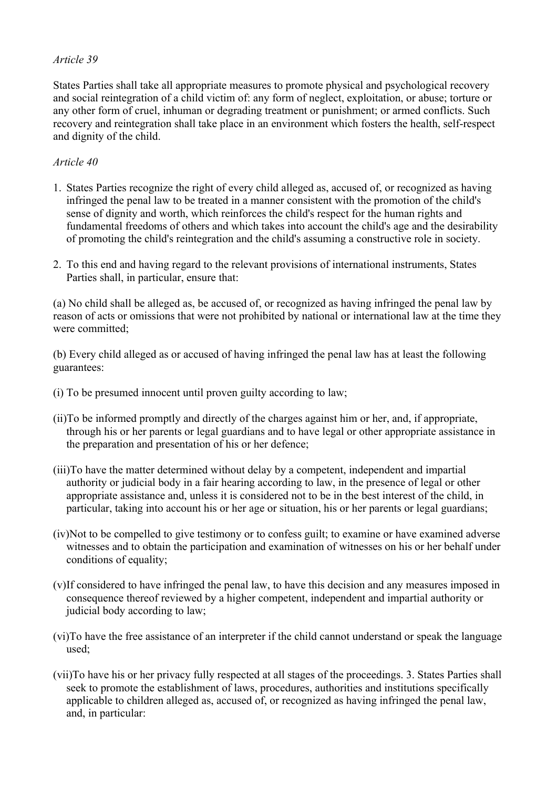States Parties shall take all appropriate measures to promote physical and psychological recovery and social reintegration of a child victim of: any form of neglect, exploitation, or abuse; torture or any other form of cruel, inhuman or degrading treatment or punishment; or armed conflicts. Such recovery and reintegration shall take place in an environment which fosters the health, self-respect and dignity of the child.

#### *Article 40*

- 1. States Parties recognize the right of every child alleged as, accused of, or recognized as having infringed the penal law to be treated in a manner consistent with the promotion of the child's sense of dignity and worth, which reinforces the child's respect for the human rights and fundamental freedoms of others and which takes into account the child's age and the desirability of promoting the child's reintegration and the child's assuming a constructive role in society.
- 2. To this end and having regard to the relevant provisions of international instruments, States Parties shall, in particular, ensure that:

(a) No child shall be alleged as, be accused of, or recognized as having infringed the penal law by reason of acts or omissions that were not prohibited by national or international law at the time they were committed;

(b) Every child alleged as or accused of having infringed the penal law has at least the following guarantees:

- (i) To be presumed innocent until proven guilty according to law;
- (ii)To be informed promptly and directly of the charges against him or her, and, if appropriate, through his or her parents or legal guardians and to have legal or other appropriate assistance in the preparation and presentation of his or her defence;
- (iii)To have the matter determined without delay by a competent, independent and impartial authority or judicial body in a fair hearing according to law, in the presence of legal or other appropriate assistance and, unless it is considered not to be in the best interest of the child, in particular, taking into account his or her age or situation, his or her parents or legal guardians;
- (iv)Not to be compelled to give testimony or to confess guilt; to examine or have examined adverse witnesses and to obtain the participation and examination of witnesses on his or her behalf under conditions of equality;
- (v)If considered to have infringed the penal law, to have this decision and any measures imposed in consequence thereof reviewed by a higher competent, independent and impartial authority or judicial body according to law;
- (vi)To have the free assistance of an interpreter if the child cannot understand or speak the language used;
- (vii)To have his or her privacy fully respected at all stages of the proceedings. 3. States Parties shall seek to promote the establishment of laws, procedures, authorities and institutions specifically applicable to children alleged as, accused of, or recognized as having infringed the penal law, and, in particular: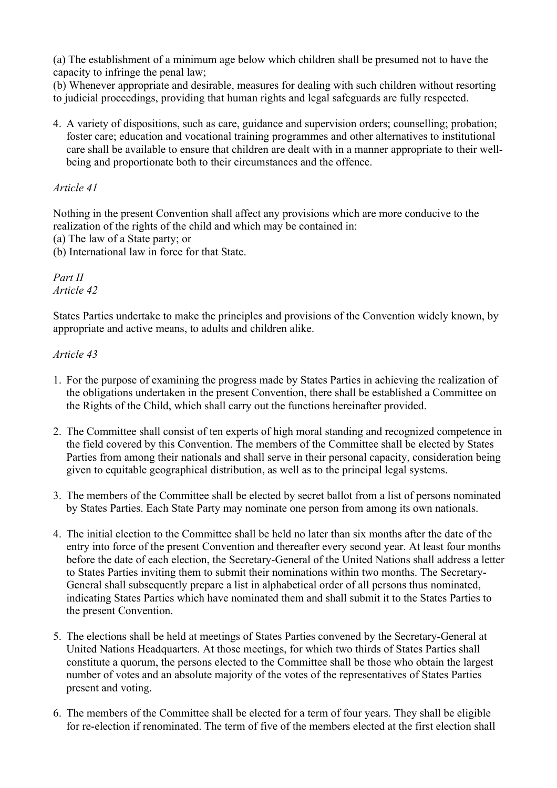(a) The establishment of a minimum age below which children shall be presumed not to have the capacity to infringe the penal law;

(b) Whenever appropriate and desirable, measures for dealing with such children without resorting to judicial proceedings, providing that human rights and legal safeguards are fully respected.

4. A variety of dispositions, such as care, guidance and supervision orders; counselling; probation; foster care; education and vocational training programmes and other alternatives to institutional care shall be available to ensure that children are dealt with in a manner appropriate to their wellbeing and proportionate both to their circumstances and the offence.

### *Article 41*

Nothing in the present Convention shall affect any provisions which are more conducive to the realization of the rights of the child and which may be contained in:

- (a) The law of a State party; or
- (b) International law in force for that State.

#### *Part II Article 42*

States Parties undertake to make the principles and provisions of the Convention widely known, by appropriate and active means, to adults and children alike.

- 1. For the purpose of examining the progress made by States Parties in achieving the realization of the obligations undertaken in the present Convention, there shall be established a Committee on the Rights of the Child, which shall carry out the functions hereinafter provided.
- 2. The Committee shall consist of ten experts of high moral standing and recognized competence in the field covered by this Convention. The members of the Committee shall be elected by States Parties from among their nationals and shall serve in their personal capacity, consideration being given to equitable geographical distribution, as well as to the principal legal systems.
- 3. The members of the Committee shall be elected by secret ballot from a list of persons nominated by States Parties. Each State Party may nominate one person from among its own nationals.
- 4. The initial election to the Committee shall be held no later than six months after the date of the entry into force of the present Convention and thereafter every second year. At least four months before the date of each election, the Secretary-General of the United Nations shall address a letter to States Parties inviting them to submit their nominations within two months. The Secretary-General shall subsequently prepare a list in alphabetical order of all persons thus nominated, indicating States Parties which have nominated them and shall submit it to the States Parties to the present Convention.
- 5. The elections shall be held at meetings of States Parties convened by the Secretary-General at United Nations Headquarters. At those meetings, for which two thirds of States Parties shall constitute a quorum, the persons elected to the Committee shall be those who obtain the largest number of votes and an absolute majority of the votes of the representatives of States Parties present and voting.
- 6. The members of the Committee shall be elected for a term of four years. They shall be eligible for re-election if renominated. The term of five of the members elected at the first election shall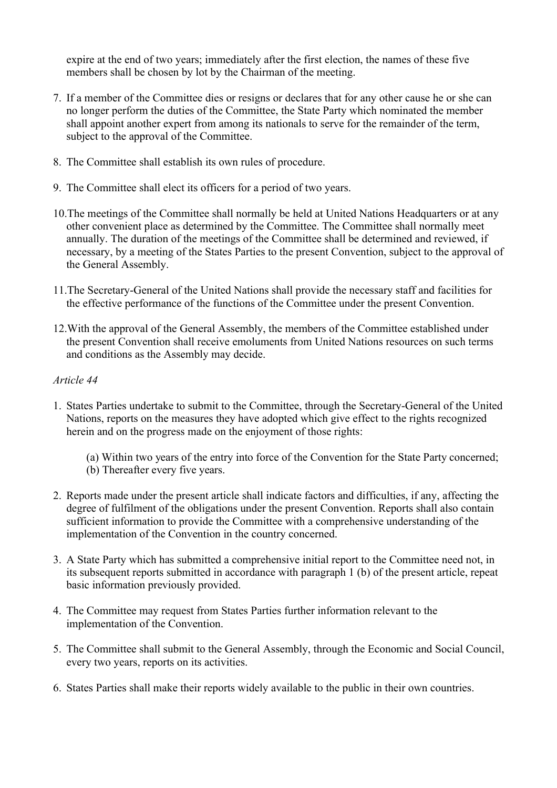expire at the end of two years; immediately after the first election, the names of these five members shall be chosen by lot by the Chairman of the meeting.

- 7. If a member of the Committee dies or resigns or declares that for any other cause he or she can no longer perform the duties of the Committee, the State Party which nominated the member shall appoint another expert from among its nationals to serve for the remainder of the term, subject to the approval of the Committee.
- 8. The Committee shall establish its own rules of procedure.
- 9. The Committee shall elect its officers for a period of two years.
- 10.The meetings of the Committee shall normally be held at United Nations Headquarters or at any other convenient place as determined by the Committee. The Committee shall normally meet annually. The duration of the meetings of the Committee shall be determined and reviewed, if necessary, by a meeting of the States Parties to the present Convention, subject to the approval of the General Assembly.
- 11.The Secretary-General of the United Nations shall provide the necessary staff and facilities for the effective performance of the functions of the Committee under the present Convention.
- 12.With the approval of the General Assembly, the members of the Committee established under the present Convention shall receive emoluments from United Nations resources on such terms and conditions as the Assembly may decide.

- 1. States Parties undertake to submit to the Committee, through the Secretary-General of the United Nations, reports on the measures they have adopted which give effect to the rights recognized herein and on the progress made on the enjoyment of those rights:
	- (a) Within two years of the entry into force of the Convention for the State Party concerned;
	- (b) Thereafter every five years.
- 2. Reports made under the present article shall indicate factors and difficulties, if any, affecting the degree of fulfilment of the obligations under the present Convention. Reports shall also contain sufficient information to provide the Committee with a comprehensive understanding of the implementation of the Convention in the country concerned.
- 3. A State Party which has submitted a comprehensive initial report to the Committee need not, in its subsequent reports submitted in accordance with paragraph 1 (b) of the present article, repeat basic information previously provided.
- 4. The Committee may request from States Parties further information relevant to the implementation of the Convention.
- 5. The Committee shall submit to the General Assembly, through the Economic and Social Council, every two years, reports on its activities.
- 6. States Parties shall make their reports widely available to the public in their own countries.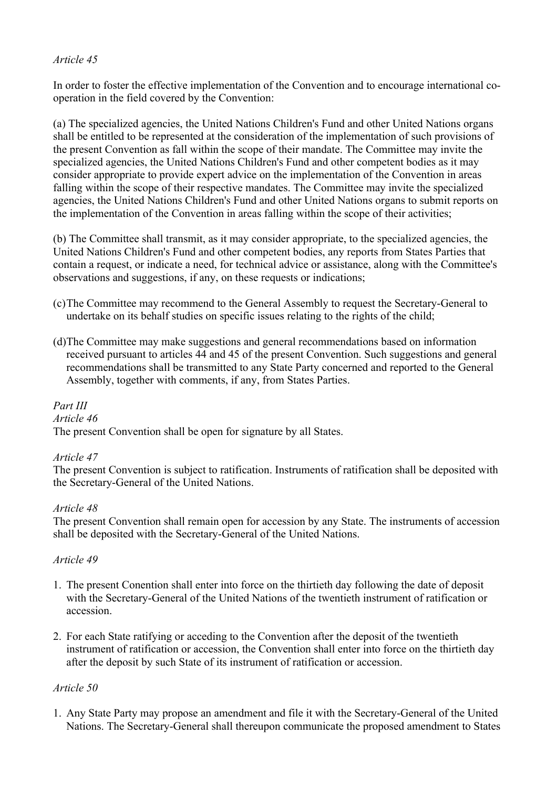In order to foster the effective implementation of the Convention and to encourage international cooperation in the field covered by the Convention:

(a) The specialized agencies, the United Nations Children's Fund and other United Nations organs shall be entitled to be represented at the consideration of the implementation of such provisions of the present Convention as fall within the scope of their mandate. The Committee may invite the specialized agencies, the United Nations Children's Fund and other competent bodies as it may consider appropriate to provide expert advice on the implementation of the Convention in areas falling within the scope of their respective mandates. The Committee may invite the specialized agencies, the United Nations Children's Fund and other United Nations organs to submit reports on the implementation of the Convention in areas falling within the scope of their activities;

(b) The Committee shall transmit, as it may consider appropriate, to the specialized agencies, the United Nations Children's Fund and other competent bodies, any reports from States Parties that contain a request, or indicate a need, for technical advice or assistance, along with the Committee's observations and suggestions, if any, on these requests or indications;

- (c)The Committee may recommend to the General Assembly to request the Secretary-General to undertake on its behalf studies on specific issues relating to the rights of the child;
- (d)The Committee may make suggestions and general recommendations based on information received pursuant to articles 44 and 45 of the present Convention. Such suggestions and general recommendations shall be transmitted to any State Party concerned and reported to the General Assembly, together with comments, if any, from States Parties.

*Part III Article 46* The present Convention shall be open for signature by all States.

# *Article 47*

The present Convention is subject to ratification. Instruments of ratification shall be deposited with the Secretary-General of the United Nations.

### *Article 48*

The present Convention shall remain open for accession by any State. The instruments of accession shall be deposited with the Secretary-General of the United Nations.

### *Article 49*

- 1. The present Conention shall enter into force on the thirtieth day following the date of deposit with the Secretary-General of the United Nations of the twentieth instrument of ratification or accession.
- 2. For each State ratifying or acceding to the Convention after the deposit of the twentieth instrument of ratification or accession, the Convention shall enter into force on the thirtieth day after the deposit by such State of its instrument of ratification or accession.

### *Article 50*

1. Any State Party may propose an amendment and file it with the Secretary-General of the United Nations. The Secretary-General shall thereupon communicate the proposed amendment to States